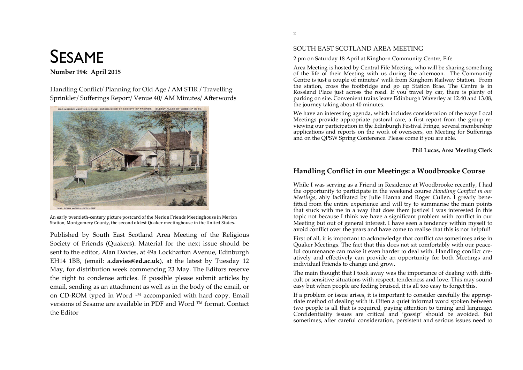# SESAME

# **Number 194: April 2015**

Handling Conflict/Planning for Old Age / AM STIR / Travelling Sprinkler/Sufferings Report/Venue 40/AM Minutes/Afterwords



An early twentieth-century picture postcard of the Merion Friends Meetinghouse in Merion Station, Montgomery County, the second oldest Quaker meetinghouse in the United States.

Published by South East Scotland Area Meeting of the Religious Society of Friends (Ouakers). Material for the next issue should be sent to the editor, Alan Davies, at 49a Lockharton Avenue, Edinburgh EH14 1BB, (email: a.davies@ed.ac.uk), at the latest by Tuesday 12 May, for distribution week commencing 23 May. The Editors reserve the right to condense articles. If possible please submit articles by email, sending as an attachment as well as in the body of the email, or on CD-ROM typed in Word ™ accompanied with hard copy. Email versions of Sesame are available in PDF and Word  $\text{TM}$  format. Contact the Editor

# SOUTH EAST SCOTLAND AREA MEETING

## 2 pm on Saturday 18 April at Kinghorn Community Centre, Fife

Area Meeting is hosted by Central Fife Meeting, who will be sharing something of the life of their Meeting with us during the afternoon. The Community Centre is just a couple of minutes' walk from Kinghorn Railway Station. From the station, cross the footbridge and go up Station Brae. The Centre is in Rossland Place just across the road. If you travel by car, there is plenty of parking on site. Convenient trains leave Edinburgh Waverley at 12.40 and 13.08, the journey taking about 40 minutes.

We have an interesting agenda, which includes consideration of the ways Local Meetings provide appropriate pastoral care, a first report from the group reviewing our participation in the Edinburgh Festival Fringe, several membership applications and reports on the work of overseers, on Meeting for Sufferings and on the QPSW Spring Conference. Please come if you are able.

# **Phil Lucas, Area Meeting Clerk**

# **Handling Conflict in our Meetings: a Woodbrooke Course**

While I was serving as a Friend in Residence at Woodbrooke recently, I had the opportunity to participate in the weekend course *Handling Conflict in our Meetings,* ably facilitated by Julie Hanna and Roger Cullen. I greatly benefitted from the entire experience and will try to summarise the main points that stuck with me in a way that does them justice! I was interested in this topic not because I think we have a significant problem with conflict in our Meeting but out of general interest. I have seen a tendency within myself to avoid conflict over the years and have come to realise that this is not helpful!

First of all, it is important to acknowledge that conflict *can* sometimes arise in Quaker Meetings. The fact that this does not sit comfortably with our peaceful countenance can make it even harder to deal with. Handling conflict creatively and effectively can provide an opportunity for both Meetings and individual Friends to change and grow.

The main thought that I took away was the importance of dealing with difficult or sensitive situations with respect, tenderness and love. This may sound easy but when people are feeling bruised, it is all too easy to forget this.

If a problem or issue arises, it is important to consider carefully the appropriate method of dealing with it. Often a quiet informal word spoken between two people is all that is required, paying attention to timing and language. Confidentiality issues are critical and 'gossip' should be avoided. But sometimes, after careful consideration, persistent and serious issues need to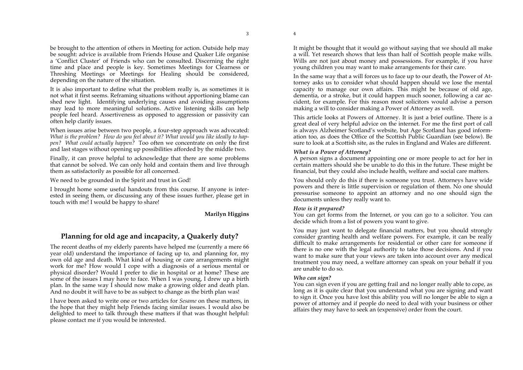be brought to the attention of others in Meeting for action. Outside help may be sought: advice is available from Friends House and Quaker Life organise a 'Conflict Cluster' of Friends who can be consulted. Discerning the right time and place and people is key. Sometimes Meetings for Clearness or Threshing Meetings or Meetings for Healing should be considered, depending on the nature of the situation.

It is also important to define what the problem really is, as sometimes it is not what it first seems. Reframing situations without apportioning blame can shed new light. Identifying underlying causes and avoiding assumptions may lead to more meaningful solutions. Active listening skills can help people feel heard. Assertiveness as opposed to aggression or passivity can often help clarify issues.

When issues arise between two people, a four-step approach was advocated: *What is the problem? How do you feel about it? What would you like ideally to happen? What could actually happen?* Too often we concentrate on only the first and last stages without opening up possibilities afforded by the middle two.

Finally, it can prove helpful to acknowledge that there are some problems that cannot be solved. We can only hold and contain them and live through them as satisfactorily as possible for all concerned.

We need to be grounded in the Spirit and trust in God!

I brought home some useful handouts from this course. If anyone is interested in seeing them, or discussing any of these issues further, please get in touch with me! I would be happy to share!

#### **Marilyn Higgins**

# **Planning for old age and incapacity, a Quakerly duty?**

The recent deaths of my elderly parents have helped me (currently a mere 66 year old) understand the importance of facing up to, and planning for, my own old age and death. What kind of housing or care arrangements might work for me? How would I cope with a diagnosis of a serious mental or physical disorder? Would I prefer to die in hospital or at home? These are some of the issues I may have to face. When I was young, I drew up a birth plan. In the same way I should now make a growing older and death plan. And no doubt it will have to be as subject to change as the birth plan was!

I have been asked to write one or two articles for *Sesame* on these matters, in the hope that they might help Friends facing similar issues. I would also be delighted to meet to talk through these matters if that was thought helpful: please contact me if you would be interested.

It might be thought that it would go without saying that we should all make a will. Yet research shows that less than half of Scottish people make wills. Wills are not just about money and possessions. For example, if you have young children you may want to make arrangements for their care.

In the same way that a will forces us to face up to our death, the Power of Attorney asks us to consider what should happen should we lose the mental capacity to manage our own affairs. This might be because of old age, dementia, or a stroke, but it could happen much sooner, following a car accident, for example. For this reason most solicitors would advise a person making a will to consider making a Power of Attorney as well.

This article looks at Powers of Attorney. It is just a brief outline. There is a great deal of very helpful advice on the internet. For me the first port of call is always Alzheimer Scotland's website, but Age Scotland has good information too, as does the Office of the Scottish Public Guardian (see below). Be sure to look at a Scottish site, as the rules in England and Wales are different.

#### *What is a Power of Attorney?*

A person signs a document appointing one or more people to act for her in certain matters should she be unable to do this in the future. These might be financial, but they could also include health, welfare and social care matters.

You should only do this if there is someone you trust. Attorneys have wide powers and there is little supervision or regulation of them. No one should pressurise someone to appoint an attorney and no one should sign the documents unless they really want to.

#### *How is it prepared?*

You can get forms from the Internet, or you can go to a solicitor. You can decide which from a list of powers you want to give.

You may just want to delegate financial matters, but you should strongly consider granting health and welfare powers. For example, it can be really difficult to make arrangements for residential or other care for someone if there is no one with the legal authority to take those decisions. And if you want to make sure that your views are taken into account over any medical treatment you may need, a welfare attorney can speak on your behalf if you are unable to do so.

#### *Who can sign?*

You can sign even if you are getting frail and no longer really able to cope, as long as it is quite clear that you understand what you are signing and want to sign it. Once you have lost this ability you will no longer be able to sign a power of attorney and if people do need to deal with your business or other affairs they may have to seek an (expensive) order from the court.

4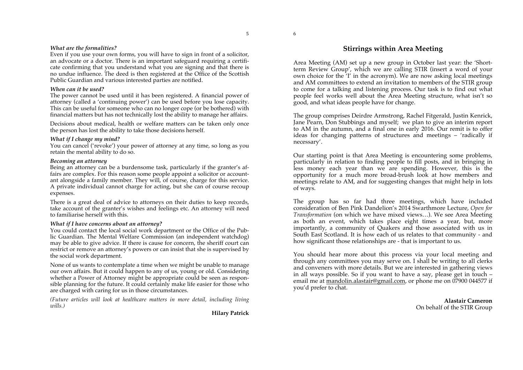# *What are the formalities?*

Even if you use your own forms, you will have to sign in front of a solicitor, an advocate or a doctor. There is an important safeguard requiring a certificate confirming that you understand what you are signing and that there is no undue influence. The deed is then registered at the Office of the Scottish Public Guardian and various interested parties are notified.

# *When can it be used?*

The power cannot be used until it has been registered. A financial power of attorney (called a 'continuing power') can be used before you lose capacity. This can be useful for someone who can no longer cope (or be bothered) with financial matters but has not technically lost the ability to manage her affairs.

Decisions about medical, health or welfare matters can be taken only once the person has lost the ability to take those decisions herself.

# *What if I change my mind?*

You can cancel ('revoke') your power of attorney at any time, so long as you retain the mental ability to do so.

# *Becoming an attorney*

Being an attorney can be a burdensome task, particularly if the granter's affairs are complex. For this reason some people appoint a solicitor or accountant alongside a family member. They will, of course, charge for this service. A private individual cannot charge for acting, but she can of course recoup expenses.

There is a great deal of advice to attorneys on their duties to keep records, take account of the granter's wishes and feelings etc. An attorney will need to familiarise herself with this.

# *What if I have concerns about an attorney?*

You could contact the local social work department or the Office of the Public Guardian. The Mental Welfare Commission (an independent watchdog) may be able to give advice. If there is cause for concern, the sheriff court can restrict or remove an attorney's powers or can insist that she is supervised by the social work department.

None of us wants to contemplate a time when we might be unable to manage our own affairs. But it could happen to any of us, young or old. Considering whether a Power of Attorney might be appropriate could be seen as responsible planning for the future. It could certainly make life easier for those who are charged with caring for us in those circumstances.

*(Future articles will look at healthcare matters in more detail, including living wills.)* 

# **Stirrings within Area Meeting**

Area Meeting (AM) set up a new group in October last year: the 'Shortterm Review Group', which we are calling STIR (insert a word of your own choice for the 'I' in the acronym). We are now asking local meetings and AM committees to extend an invitation to members of the STIR group to come for a talking and listening process. Our task is to find out what people feel works well about the Area Meeting structure, what isn't so good, and what ideas people have for change.

The group comprises Deirdre Armstrong, Rachel Fitgerald, Justin Kenrick, Jane Pearn, Don Stubbings and myself; we plan to give an interim report to AM in the autumn, and a final one in early 2016. Our remit is to offer ideas for changing patterns of structures and meetings – 'radically if necessary'.

Our starting point is that Area Meeting is encountering some problems, particularly in relation to finding people to fill posts, and in bringing in less money each year than we are spending. However, this is the opportunity for a much more broad-brush look at how members and meetings relate to AM, and for suggesting changes that might help in lots of ways.

The group has so far had three meetings, which have included consideration of Ben Pink Dandelion's 2014 Swarthmore Lecture, *Open for Transformation* (on which we have mixed views…). We see Area Meeting as both an event, which takes place eight times a year, but, more importantly, a community of Quakers and those associated with us in South East Scotland. It is how each of us relates to that community - and how significant those relationships are - that is important to us.

You should hear more about this process via your local meeting and through any committees you may serve on. I shall be writing to all clerks and conveners with more details. But we are interested in gathering views in all ways possible. So if you want to have a say, please get in touch – email me at mandolin.alastair@gmail.com, or phone me on 07900 044577 if you'd prefer to chat.

> **Alastair Cameron**  On behalf of the STIR Group

**Hilary Patrick**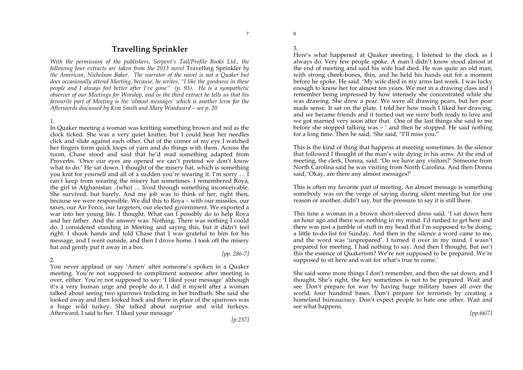# **Travelling Sprinkler**

*With the permission of the publishers, Serpent's Tail/Profile Books Ltd., the following four extracts are taken from the 2013 novel Travelling Sprinkler by the American, Nicholson Baker. The narrator of the novel is not a Quaker but does occasionally attend Meeting, because, he writes, "I like the goodness in these people and I always feel better after I've gone" (p. 93). He is a sympathetic observer of our Meetings for Worship, and in the third extract he tells us that his favourite part of Meeting is the 'almost messages' which is another term for the Afterwords discussed by Kim Smith and Mary Woodward – see p. 20*

## 1.

In Quaker meeting a woman was knitting something brown and red as the clock ticked. She was a very quiet knitter, but I could hear her needles click and slide against each other. Out of the corner of my eye I watched her fingers form quick loops of yarn and do things with them. Across the room, Chase stood and said that he'd read something adapted from Proverbs. 'Once our eyes are opened we can't pretend we don't know what to do.' He sat down. I thought of the misery hat, which is something you knit for yourself and all of a sudden you're wearing it. I'm sorry … I can't keep from wearing the misery hat sometimes. I remembered Roya, the girl in Afghanistan ..(who) … lived through something inconceivable. She survived, but barely. And my job was to think of her, right then, because we were responsible. We did this to Roya – with our missiles, our taxes, our Air Force, our targeters, our elected government. We exported a war into her young life. I thought, What can I possibly do to help Roya and her father. And the answer was: Nothing. There was nothing I could do. I considered standing in Meeting and saying this, but it didn't feel right. I shook hands and told Chase that I was grateful to him for his message, and I went outside, and then I drove home. I took off the misery hat and gently put it away in a box.

#### 2.

You never applaud or say 'Amen' after someone's spoken in a Quaker meeting. You're not supposed to compliment someone after meeting is over, either. You're not supposed to say: 'I liked your message' although it's a very human urge and people do it. I did it myself after a woman talked about seeing two sparrows frolicking in her birdbath. She said she looked away and then looked back and there in place of the sparrows was a huge wild turkey. She talked about surprise and wild turkeys. Afterward, I said to her. 'I liked your message'

*[pp. 286-7]* 

8 3.

Here's what happened at Quaker meeting. I listened to the clock as I always do. Very few people spoke. A man I didn't know stood almost at the end of meeting and said his wife had died. He was quite an old man, with strong cheek-bones, thin, and he held his hands out for a moment before he spoke. He said. 'My wife died in my arms last week. I was lucky enough to know her for almost ten years. We met in a drawing class and I remember being impressed by how intensely she concentrated while she was drawing. She drew a pear. We were all drawing pears, but her pear made sense. It sat on the plate. I told her how much I liked her drawing, and we became friends and it turned out we were both ready to love and we got married very soon after that. One of the last things she said to me before she stopped talking was – ' and then he stopped. He said nothing for a long time. Then he said, 'She said, "I'll miss you."

This is the kind of thing that happens at meeting sometimes. In the silence that followed I thought of the man's wife dying in his arms. At the end of meeting, the clerk, Donna, said: 'Do we have any visitors?' Someone from North Carolina said he was visiting from North Carolina. And then Donna said, 'Okay, are there any almost messages?'

This is often my favorite part of meeting. An almost message is something somebody was on the verge of saying during silent meeting but for one reason or another, didn't say, but the pressure to say it is still there.

This time a woman in a brown short-sleeved dress said. 'I sat down here an hour ago and there was nothing in my mind. I'd rushed to get here and there was just a jumble of stuff in my head that I'm supposed to be doing, a little to-do list for Sunday. And then in the silence a word came to me, and the word was 'unprepared'. I turned it over in my mind. I wasn't prepared for meeting. I had nothing to say. And then I thought, But isn't this the essence of Quakerism? We're not supposed to be prepared. We're supposed to sit here and wait for what's true to come.'

She said some more things I don't remember, and then she sat down, and I thought, She's right, the key sometimes is not to be prepared. Wait and see. Don't prepare for war by having huge military bases all over the world, four hundred bases. Don't prepare for terrorists by creating a homeland bureaucracy. Don't expect people to hate one other, Wait and see what happens.

*[pp.66/7]*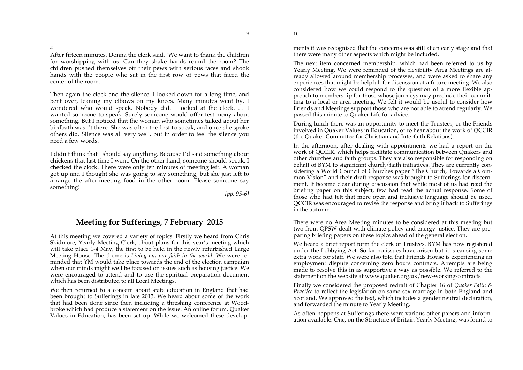After fifteen minutes, Donna the clerk said. 'We want to thank the children for worshipping with us. Can they shake hands round the room? The children pushed themselves off their pews with serious faces and shook hands with the people who sat in the first row of pews that faced the center of the room.

Then again the clock and the silence. I looked down for a long time, and bent over, leaning my elbows on my knees. Many minutes went by. I wondered who would speak. Nobody did. I looked at the clock. … I wanted someone to speak. Surely someone would offer testimony about something. But I noticed that the woman who sometimes talked about her birdbath wasn't there. She was often the first to speak, and once she spoke others did. Silence was all very well, but in order to feel the silence you need a few words.

I didn't think that I should say anything. Because I'd said something about chickens that last time I went. On the other hand, someone should speak. I checked the clock. There were only ten minutes of meeting left. A woman got up and I thought she was going to say something, but she just left to arrange the after-meeting food in the other room. Please someone say something!

*[pp. 95-6]* 

9

# **Meeting for Sufferings, 7 February 2015**

At this meeting we covered a variety of topics. Firstly we heard from Chris Skidmore, Yearly Meeting Clerk, about plans for this year's meeting which will take place 1-4 May, the first to be held in the newly refurbished Large Meeting House. The theme is *Living out our faith in the world*. We were reminded that YM would take place towards the end of the election campaign when our minds might well be focused on issues such as housing justice. We were encouraged to attend and to use the spiritual preparation document which has been distributed to all Local Meetings.

We then returned to a concern about state education in England that had been brought to Sufferings in late 2013. We heard about some of the work that had been done since then including a threshing conference at Woodbroke which had produce a statement on the issue. An online forum, Quaker Values in Education, has been set up. While we welcomed these developments it was recognised that the concerns was still at an early stage and that there were many other aspects which might be included.

The next item concerned membership, which had been referred to us by Yearly Meeting. We were reminded of the flexibility Area Meetings are already allowed around membership processes, and were asked to share any experiences that might be helpful, for discussion at a future meeting. We also considered how we could respond to the question of a more flexible approach to membership for those whose journeys may preclude their committing to a local or area meeting. We felt it would be useful to consider how Friends and Meetings support those who are not able to attend regularly. We passed this minute to Quaker Life for advice.

During lunch there was an opportunity to meet the Trustees, or the Friends involved in Quaker Values in Education, or to hear about the work of QCCIR (the Quaker Committee for Christian and Interfaith Relations).

In the afternoon, after dealing with appointments we had a report on the work of QCCIR, which helps facilitate communication between Quakers and other churches and faith groups. They are also responsible for responding on behalf of BYM to significant church/faith initiatives. They are currently considering a World Council of Churches paper "The Church, Towards a Common Vision" and their draft response was brought to Sufferings for discernment. It became clear during discussion that while most of us had read the briefing paper on this subject, few had read the actual response. Some of those who had felt that more open and inclusive language should be used. QCCIR was encouraged to revise the response and bring it back to Sufferings in the autumn.

There were no Area Meeting minutes to be considered at this meeting but two from QPSW dealt with climate policy and energy justice. They are preparing briefing papers on these topics ahead of the general election.

We heard a brief report form the clerk of Trustees. BYM has now registered under the Lobbying Act. So far no issues have arisen but it is causing some extra work for staff. We were also told that Friends House is experiencing an employment dispute concerning zero hours contracts. Attempts are being made to resolve this in as supportive a way as possible. We referred to the statement on the website at www.quaker.org.uk/new-working-contracts

Finally we considered the proposed redraft of Chapter 16 of *Quaker Faith & Practice* to reflect the legislation on same sex marriage in both England and Scotland. We approved the text, which includes a gender neutral declaration, and forwarded the minute to Yearly Meeting.

As often happens at Sufferings there were various other papers and information available. One, on the Structure of Britain Yearly Meeting, was found to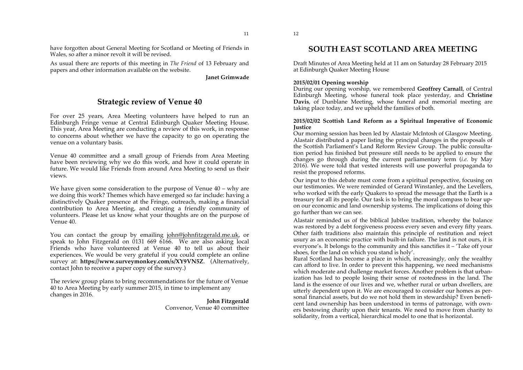have forgotten about General Meeting for Scotland or Meeting of Friends in Wales, so after a minor revolt it will be revised.

As usual there are reports of this meeting in *The Friend* of 13 February and papers and other information available on the website.

**Janet Grimwade**

# **Strategic review of Venue 40**

For over 25 years, Area Meeting volunteers have helped to run an Edinburgh Fringe venue at Central Edinburgh Quaker Meeting House. This year, Area Meeting are conducting a review of this work, in response to concerns about whether we have the capacity to go on operating the venue on a voluntary basis.

Venue 40 committee and a small group of Friends from Area Meeting have been reviewing why we do this work, and how it could operate in future. We would like Friends from around Area Meeting to send us their views.

We have given some consideration to the purpose of Venue  $40 - whv$  are we doing this work? Themes which have emerged so far include: having a distinctively Quaker presence at the Fringe, outreach, making a financial contribution to Area Meeting, and creating a friendly community of volunteers. Please let us know what your thoughts are on the purpose of Venue 40.

You can contact the group by emailing john@johnfitzgerald.me.uk, or speak to John Fitzgerald on 0131 669 6166. We are also asking local Friends who have volunteered at Venue 40 to tell us about their experiences. We would be very grateful if you could complete an online survey at: **https://www.surveymonkey.com/s/XY9VN5Z**. (Alternatively, contact John to receive a paper copy of the survey.)

The review group plans to bring recommendations for the future of Venue 40 to Area Meeting by early summer 2015, in time to implement any changes in 2016.

> **John Fitzgerald**  Convenor, Venue 40 committee

Draft Minutes of Area Meeting held at 11 am on Saturday 28 February 2015 at Edinburgh Quaker Meeting House

#### **2015/02/01 Opening worship**

During our opening worship, we remembered **Geoffrey Carnall**, of Central Edinburgh Meeting, whose funeral took place yesterday, and **Christine Davis**, of Dunblane Meeting, whose funeral and memorial meeting are taking place today, and we upheld the families of both.

#### **2015/02/02 Scottish Land Reform as a Spiritual Imperative of Economic Justice**

Our morning session has been led by Alastair McIntosh of Glasgow Meeting. Alastair distributed a paper listing the principal changes in the proposals of the Scottish Parliament's Land Reform Review Group. The public consultation period has finished but pressure still needs to be applied to ensure the changes go through during the current parliamentary term (*i.e.* by May 2016). We were told that vested interests will use powerful propaganda to resist the proposed reforms.

Our input to this debate must come from a spiritual perspective, focusing on our testimonies. We were reminded of Gerard Winstanley, and the Levellers, who worked with the early Quakers to spread the message that the Earth is a treasury for all its people. Our task is to bring the moral compass to bear upon our economic and land ownership systems. The implications of doing this go further than we can see.

Alastair reminded us of the biblical Jubilee tradition, whereby the balance was restored by a debt forgiveness process every seven and every fifty years. Other faith traditions also maintain this principle of restitution and reject usury as an economic practice with built-in failure. The land is not ours, it is everyone's. It belongs to the community and this sanctifies it – 'Take off your shoes, for the land on which you stand is holy'.

Rural Scotland has become a place in which, increasingly, only the wealthy can afford to live. In order to prevent this happening, we need mechanisms which moderate and challenge market forces. Another problem is that urbanization has led to people losing their sense of rootedness in the land. The land is the essence of our lives and we, whether rural or urban dwellers, are utterly dependent upon it. We are encouraged to consider our homes as personal financial assets, but do we not hold them in stewardship? Even beneficent land ownership has been understood in terms of patronage, with owners bestowing charity upon their tenants. We need to move from charity to solidarity, from a vertical, hierarchical model to one that is horizontal.

12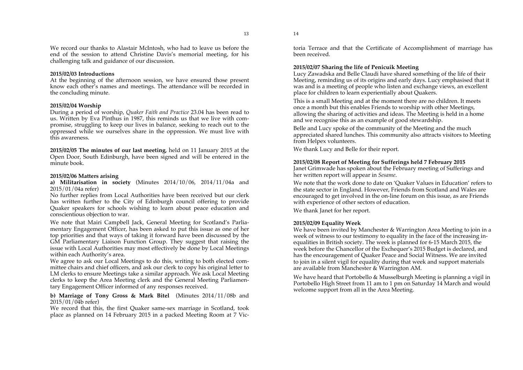We record our thanks to Alastair McIntosh, who had to leave us before the end of the session to attend Christine Davis's memorial meeting, for his challenging talk and guidance of our discussion.

#### **2015/02/03 Introductions**

At the beginning of the afternoon session, we have ensured those present know each other's names and meetings. The attendance will be recorded in the concluding minute.

#### **2015/02/04 Worship**

During a period of worship, *Quaker Faith and Practice* 23.04 has been read to us. Written by Eva Pinthus in 1987, this reminds us that we live with compromise, struggling to keep our lives in balance, seeking to reach out to the oppressed while we ourselves share in the oppression. We must live with this awareness.

**2015/02/05 The minutes of our last meeting**, held on 11 January 2015 at the Open Door, South Edinburgh, have been signed and will be entered in the minute book.

#### **2015/02/06 Matters arising**

**a) Militarisation in society** (Minutes 2014/10/06, 2014/11/04a and 2015/01/04a refer)

No further replies from Local Authorities have been received but our clerk has written further to the City of Edinburgh council offering to provide Quaker speakers for schools wishing to learn about peace education and conscientious objection to war.

We note that Mairi Campbell Jack, General Meeting for Scotland's Parliamentary Engagement Officer, has been asked to put this issue as one of her top priorities and that ways of taking it forward have been discussed by the GM Parliamentary Liaison Function Group. They suggest that raising the issue with Local Authorities may most effectively be done by Local Meetings within each Authority's area.

We agree to ask our Local Meetings to do this, writing to both elected committee chairs and chief officers, and ask our clerk to copy his original letter to LM clerks to ensure Meetings take a similar approach. We ask Local Meeting clerks to keep the Area Meeting clerk and the General Meeting Parliamentary Engagement Officer informed of any responses received.

#### **b) Marriage of Tony Gross & Mark Bitel** (Minutes 2014/11/08b and 2015/01/04b refer)

We record that this, the first Quaker same-sex marriage in Scotland, took place as planned on 14 February 2015 in a packed Meeting Room at 7 Victoria Terrace and that the Certificate of Accomplishment of marriage has been received.

#### **2015/02/07 Sharing the life of Penicuik Meeting**

Lucy Zawadska and Belle Claudi have shared something of the life of their Meeting, reminding us of its origins and early days. Lucy emphasised that it was and is a meeting of people who listen and exchange views, an excellent place for children to learn experientially about Quakers.

This is a small Meeting and at the moment there are no children. It meets once a month but this enables Friends to worship with other Meetings, allowing the sharing of activities and ideas. The Meeting is held in a home and we recognise this as an example of good stewardship.

Belle and Lucy spoke of the community of the Meeting and the much appreciated shared lunches. This community also attracts visitors to Meeting from Helpex volunteers.

We thank Lucy and Belle for their report.

#### **2015/02/08 Report of Meeting for Sufferings held 7 February 2015**

Janet Grimwade has spoken about the February meeting of Sufferings and her written report will appear in *Sesame*.

We note that the work done to date on 'Quaker Values in Education' refers to the state sector in England. However, Friends from Scotland and Wales are encouraged to get involved in the on-line forum on this issue, as are Friends with experience of other sectors of education.

We thank Janet for her report.

#### **2015/02/09 Equality Week**

We have been invited by Manchester & Warrington Area Meeting to join in a week of witness to our testimony to equality in the face of the increasing inequalities in British society. The week is planned for 6-15 March 2015, the week before the Chancellor of the Exchequer's 2015 Budget is declared, and has the encouragement of Quaker Peace and Social Witness. We are invited to join in a silent vigil for equality during that week and support materials are available from Manchester & Warrington AM.

We have heard that Portobello & Musselburgh Meeting is planning a vigil in Portobello High Street from 11 am to 1 pm on Saturday 14 March and would welcome support from all in the Area Meeting.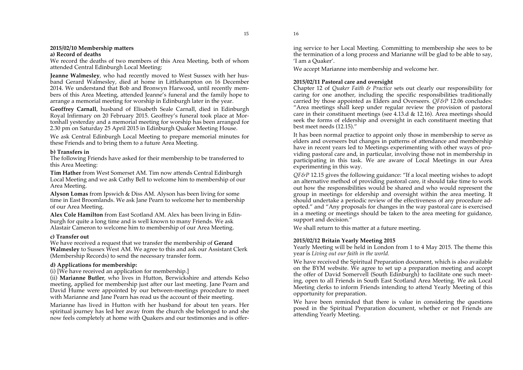#### **2015/02/10 Membership matters a) Record of deaths**

We record the deaths of two members of this Area Meeting, both of whom attended Central Edinburgh Local Meeting:

**Jeanne Walmesley**, who had recently moved to West Sussex with her husband Gerard Walmesley, died at home in Littlehampton on 16 December 2014. We understand that Bob and Bronwyn Harwood, until recently members of this Area Meeting, attended Jeanne's funeral and the family hope to arrange a memorial meeting for worship in Edinburgh later in the year.

**Geoffrey Carnall**, husband of Elisabeth Seale Carnall, died in Edinburgh Royal Infirmary on 20 February 2015. Geoffrey's funeral took place at Mortonhall yesterday and a memorial meeting for worship has been arranged for 2.30 pm on Saturday 25 April 2015 in Edinburgh Quaker Meeting House.

We ask Central Edinburgh Local Meeting to prepare memorial minutes for these Friends and to bring them to a future Area Meeting.

## **b) Transfers in**

The following Friends have asked for their membership to be transferred to this Area Meeting:

**Tim Hather** from West Somerset AM. Tim now attends Central Edinburgh Local Meeting and we ask Cathy Bell to welcome him to membership of our Area Meeting.

**Alyson Lomas** from Ipswich & Diss AM. Alyson has been living for some time in East Broomlands. We ask Jane Pearn to welcome her to membership of our Area Meeting.

**Alex Cole Hamilton** from East Scotland AM. Alex has been living in Edinburgh for quite a long time and is well known to many Friends. We ask Alastair Cameron to welcome him to membership of our Area Meeting.

# **c) Transfer out**

We have received a request that we transfer the membership of **Gerard Walmesley** to Sussex West AM. We agree to this and ask our Assistant Clerk (Membership Records) to send the necessary transfer form.

# **d) Applications for membership:**

(i) [We have received an application for membership.]

(ii) **Marianne Butler**, who lives in Hutton, Berwickshire and attends Kelso meeting, applied for membership just after our last meeting. Jane Pearn and David Hume were appointed by our between-meetings procedure to meet with Marianne and Jane Pearn has read us the account of their meeting.

Marianne has lived in Hutton with her husband for about ten years. Her spiritual journey has led her away from the church she belonged to and she now feels completely at home with Quakers and our testimonies and is offer-

15

ing service to her Local Meeting. Committing to membership she sees to be the termination of a long process and Marianne will be glad to be able to say, 'I am a Quaker'.

We accept Marianne into membership and welcome her.

# **2015/02/11 Pastoral care and oversight**

Chapter 12 of *Quaker Faith & Practice* sets out clearly our responsibility for caring for one another, including the specific responsibilities traditionally carried by those appointed as Elders and Overseers. *QF&P* 12.06 concludes: "Area meetings shall keep under regular review the provision of pastoral care in their constituent meetings (see 4.13.d  $\&$  12.16). Area meetings should seek the forms of eldership and oversight in each constituent meeting that best meet needs (12.15)."

It has been normal practice to appoint only those in membership to serve as elders and overseers but changes in patterns of attendance and membership have in recent years led to Meetings experimenting with other ways of providing pastoral care and, in particular, involving those not in membership in participating in this task. We are aware of Local Meetings in our Area experimenting in this way.

*QF&P* 12.15 gives the following guidance: "If a local meeting wishes to adopt an alternative method of providing pastoral care, it should take time to work out how the responsibilities would be shared and who would represent the group in meetings for eldership and oversight within the area meeting. It should undertake a periodic review of the effectiveness of any procedure adopted." and "Any proposals for changes in the way pastoral care is exercised in a meeting or meetings should be taken to the area meeting for guidance, support and decision."

We shall return to this matter at a future meeting.

# **2015/02/12 Britain Yearly Meeting 2015**

Yearly Meeting will be held in London from 1 to 4 May 2015. The theme this year is *Living out our faith in the world.*

We have received the Spiritual Preparation document, which is also available on the BYM website. We agree to set up a preparation meeting and accept the offer of David Somervell (South Edinburgh) to facilitate one such meeting, open to all Friends in South East Scotland Area Meeting. We ask Local Meeting clerks to inform Friends intending to attend Yearly Meeting of this opportunity for preparation.

We have been reminded that there is value in considering the questions posed in the Spiritual Preparation document, whether or not Friends are attending Yearly Meeting.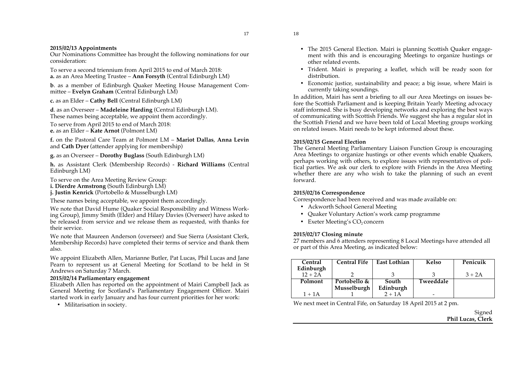#### **2015/02/13 Appointments**

Our Nominations Committee has brought the following nominations for our consideration:

To serve a second triennium from April 2015 to end of March 2018: **a.** as an Area Meeting Trustee – **Ann Forsyth** (Central Edinburgh LM)

**b**. as a member of Edinburgh Quaker Meeting House Management Committee – **Evelyn Graham** (Central Edinburgh LM)

**c.** as an Elder – **Cathy Bell** (Central Edinburgh LM)

**d**. as an Overseer – **Madeleine Harding** (Central Edinburgh LM). These names being acceptable, we appoint them accordingly. To serve from April 2015 to end of March 2018: **e.** as an Elder – **Kate Arnot** (Polmont LM)

**f.** on the Pastoral Care Team at Polmont LM – **Mariot Dallas**, **Anna Levin** and **Cath Dyer** (attender applying for membership)

**g.** as an Overseer – **Dorothy Buglass** (South Edinburgh LM)

**h.** as Assistant Clerk (Membership Records) - **Richard Williams** (Central Edinburgh LM)

To serve on the Area Meeting Review Group:

- **i. Dierdre Armstrong** (South Edinburgh LM)
- **j. Justin Kenrick** (Portobello & Musselburgh LM)

These names being acceptable, we appoint them accordingly.

We note that David Hume (Quaker Social Responsibility and Witness Working Group), Jimmy Smith (Elder) and Hilary Davies (Overseer) have asked to be released from service and we release them as requested, with thanks for their service.

We note that Maureen Anderson (overseer) and Sue Sierra (Assistant Clerk, Membership Records) have completed their terms of service and thank them also.

We appoint Elizabeth Allen, Marianne Butler, Pat Lucas, Phil Lucas and Jane Pearn to represent us at General Meeting for Scotland to be held in St Andrews on Saturday 7 March.

#### **2015/02/14 Parliamentary engagement**

Elizabeth Allen has reported on the appointment of Mairi Campbell Jack as General Meeting for Scotland's Parliamentary Engagement Officer. Mairi started work in early January and has four current priorities for her work:

• Militarisation in society.

- The 2015 General Election. Mairi is planning Scottish Quaker engagement with this and is encouraging Meetings to organize hustings or other related events.
- Trident. Mairi is preparing a leaflet, which will be ready soon for distribution.
- Economic justice, sustainability and peace; a big issue, where Mairi is currently taking soundings.

In addition, Mairi has sent a briefing to all our Area Meetings on issues before the Scottish Parliament and is keeping Britain Yearly Meeting advocacy staff informed. She is busy developing networks and exploring the best ways of communicating with Scottish Friends. We suggest she has a regular slot in the Scottish Friend and we have been told of Local Meeting groups working on related issues. Mairi needs to be kept informed about these.

#### **2015/02/15 General Election**

The General Meeting Parliamentary Liaison Function Group is encouraging Area Meetings to organize hustings or other events which enable Quakers, perhaps working with others, to explore issues with representatives of political parties. We ask our clerk to explore with Friends in the Area Meeting whether there are any who wish to take the planning of such an event forward.

# **2015/02/16 Correspondence**

Correspondence had been received and was made available on:

- Ackworth School General Meeting
- Quaker Voluntary Action's work camp programme
- Exeter Meeting's  $CO<sub>2</sub> concern$

# **2015/02/17 Closing minute**

27 members and 6 attenders representing 8 Local Meetings have attended all or part of this Area Meeting, as indicated below:

| Central   | <b>Central Fife</b> | <b>East Lothian</b> | Kelso                    | Penicuik |
|-----------|---------------------|---------------------|--------------------------|----------|
| Edinburgh |                     |                     |                          |          |
| $12 + 2A$ |                     |                     |                          | $3 + 2A$ |
| Polmont   | Portobello &        | South               | Tweeddale                |          |
|           | Musselburgh         | Edinburgh           |                          |          |
| $1 + 1A$  |                     | $2 + 1A$            | $\overline{\phantom{0}}$ |          |

We next meet in Central Fife, on Saturday 18 April 2015 at 2 pm.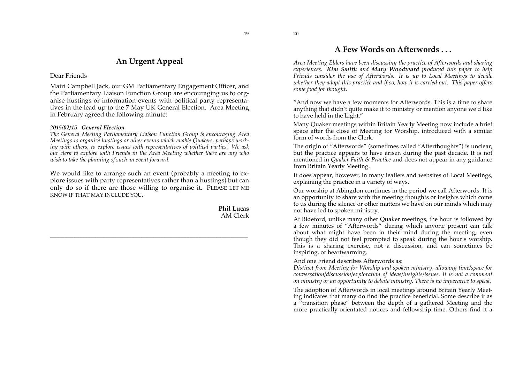19

# **An Urgent Appeal**

# Dear Friends

Mairi Campbell Jack, our GM Parliamentary Engagement Officer, and the Parliamentary Liaison Function Group are encouraging us to organise hustings or information events with political party representatives in the lead up to the 7 May UK General Election. Area Meeting in February agreed the following minute:

# *2015/02/15 General Election*

*The General Meeting Parliamentary Liaison Function Group is encouraging Area Meetings to organize hustings or other events which enable Quakers, perhaps working with others, to explore issues with representatives of political parties. We ask our clerk to explore with Friends in the Area Meeting whether there are any who wish to take the planning of such an event forward.*

We would like to arrange such an event (probably a meeting to explore issues with party representatives rather than a hustings) but can only do so if there are those willing to organise it. PLEASE LET ME KNOW IF THAT MAY INCLUDE YOU.

\_\_\_\_\_\_\_\_\_\_\_\_\_\_\_\_\_\_\_\_\_\_\_\_\_\_\_\_\_\_\_\_\_\_\_\_\_\_\_\_\_\_\_\_\_\_\_\_\_\_\_\_\_\_\_\_\_\_\_\_\_\_\_\_\_\_\_\_

**Phil Lucas**  AM Clerk

# **A Few Words on Afterwords . . .**

*Area Meeting Elders have been discussing the practice of Afterwords and sharing experiences. Kim Smith and Mary Woodward produced this paper to help Friends consider the use of Afterwords. It is up to Local Meetings to decide whether they adopt this practice and if so, how it is carried out. This paper offers some food for thought.*

"And now we have a few moments for Afterwords. This is a time to share anything that didn't quite make it to ministry or mention anyone we'd like to have held in the Light."

Many Quaker meetings within Britain Yearly Meeting now include a brief space after the close of Meeting for Worship, introduced with a similar form of words from the Clerk.

The origin of "Afterwords" (sometimes called "Afterthoughts") is unclear, but the practice appears to have arisen during the past decade. It is not mentioned in *Quaker Faith & Practice* and does not appear in any guidance from Britain Yearly Meeting.

It does appear, however, in many leaflets and websites of Local Meetings, explaining the practice in a variety of ways.

Our worship at Abingdon continues in the period we call Afterwords. It is an opportunity to share with the meeting thoughts or insights which come to us during the silence or other matters we have on our minds which may not have led to spoken ministry.

At Bideford, unlike many other Quaker meetings, the hour is followed by a few minutes of "Afterwords" during which anyone present can talk about what might have been in their mind during the meeting, even though they did not feel prompted to speak during the hour's worship. This is a sharing exercise, not a discussion, and can sometimes be inspiring, or heartwarming.

And one Friend describes Afterwords as:

*Distinct from Meeting for Worship and spoken ministry, allowing time/space for conversation/discussion/exploration of ideas/insights/issues. It is not a comment on ministry or an opportunity to debate ministry. There is no imperative to speak.* 

The adoption of Afterwords in local meetings around Britain Yearly Meeting indicates that many do find the practice beneficial. Some describe it as a "transition phase" between the depth of a gathered Meeting and the more practically-orientated notices and fellowship time. Others find it a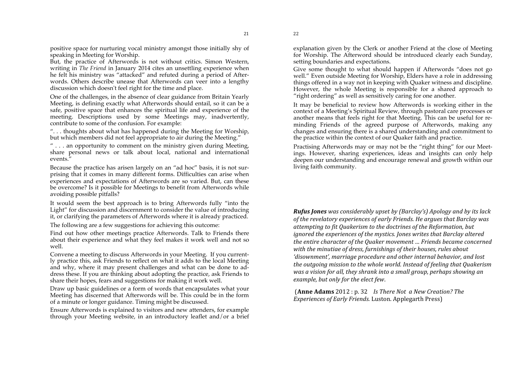21

positive space for nurturing vocal ministry amongst those initially shy of speaking in Meeting for Worship.

But, the practice of Afterwords is not without critics. Simon Western, writing in *The Friend* in January 2014 cites an unsettling experience when he felt his ministry was "attacked" and refuted during a period of Afterwords. Others describe unease that Afterwords can veer into a lengthy discussion which doesn't feel right for the time and place.

One of the challenges, in the absence of clear guidance from Britain Yearly Meeting, is defining exactly what Afterwords should entail, so it can be a safe, positive space that enhances the spiritual life and experience of the meeting. Descriptions used by some Meetings may, inadvertently, contribute to some of the confusion. For example:

". . . thoughts about what has happened during the Meeting for Worship, but which members did not feel appropriate to air during the Meeting.'

 $"$ ... an opportunity to comment on the ministry given during Meeting, share personal news or talk about local, national and international events."

Because the practice has arisen largely on an "ad hoc" basis, it is not surprising that it comes in many different forms. Difficulties can arise when experiences and expectations of Afterwords are so varied. But, can these be overcome? Is it possible for Meetings to benefit from Afterwords while avoiding possible pitfalls?

It would seem the best approach is to bring Afterwords fully "into the Light" for discussion and discernment to consider the value of introducing it, or clarifying the parameters of Afterwords where it is already practiced.

The following are a few suggestions for achieving this outcome:

Find out how other meetings practice Afterwords. Talk to Friends there about their experience and what they feel makes it work well and not so well.

Convene a meeting to discuss Afterwords in your Meeting. If you currently practice this, ask Friends to reflect on what it adds to the local Meeting and why, where it may present challenges and what can be done to address these. If you are thinking about adopting the practice, ask Friends to share their hopes, fears and suggestions for making it work well.

Draw up basic guidelines or a form of words that encapsulates what your Meeting has discerned that Afterwords will be. This could be in the form of a minute or longer guidance. Timing might be discussed.

Ensure Afterwords is explained to visitors and new attenders, for example through your Meeting website, in an introductory leaflet and/or a brief explanation given by the Clerk or another Friend at the close of Meeting for Worship. The Afterword should be introduced clearly each Sunday, setting boundaries and expectations.

Give some thought to what should happen if Afterwords "does not go well." Even outside Meeting for Worship, Elders have a role in addressing things offered in a way not in keeping with Quaker witness and discipline. However, the whole Meeting is responsible for a shared approach to "right ordering" as well as sensitively caring for one another.

It may be beneficial to review how Afterwords is working either in the context of a Meeting's Spiritual Review, through pastoral care processes or another means that feels right for that Meeting. This can be useful for reminding Friends of the agreed purpose of Afterwords, making any changes and ensuring there is a shared understanding and commitment to the practice within the context of our Quaker faith and practice.

Practising Afterwords may or may not be the "right thing" for our Meetings. However, sharing experiences, ideas and insights can only help deepen our understanding and encourage renewal and growth within our living faith community.

*Rufus Jones was considerably upset by (Barclay's) Apology and by its lack* of the revelatory experiences of early Friends. He argues that Barclay was *attempting!to!fit!Quakerism!to!the!doctrines!of!the!Reformation, but! ignored the experiences of the mystics. Jones writes that Barclay altered the entire character of the Quaker movement … Friends became concerned* with the minutiae of dress, furnishings of their houses, rules about 'disownment', marriage procedure and other internal behavior, and lost *the outgoing mission to the whole world. Instead of feeling that Quakerism was a vision for all, they shrank into a small group, perhaps showing an example, but only for the elect few.* 

**(Anne Adams** 2012 : p. 32 *Is There Not a New Creation? The Experiences of Early Friends. Luston. Applegarth Press)*